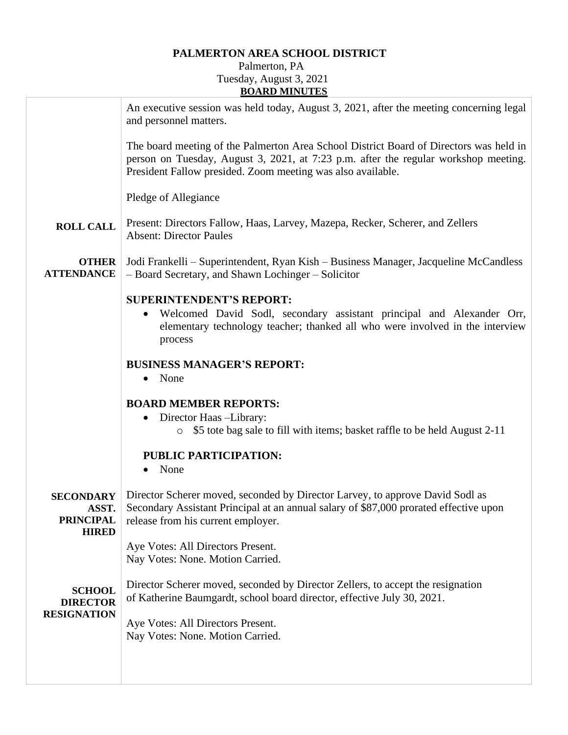## **PALMERTON AREA SCHOOL DISTRICT**

## Palmerton, PA Tuesday, August 3, 2021 **BOARD MINUTES**

|                                                               | An executive session was held today, August 3, 2021, after the meeting concerning legal<br>and personnel matters.                                                                                                                            |
|---------------------------------------------------------------|----------------------------------------------------------------------------------------------------------------------------------------------------------------------------------------------------------------------------------------------|
|                                                               | The board meeting of the Palmerton Area School District Board of Directors was held in<br>person on Tuesday, August 3, 2021, at 7:23 p.m. after the regular workshop meeting.<br>President Fallow presided. Zoom meeting was also available. |
|                                                               | Pledge of Allegiance                                                                                                                                                                                                                         |
| <b>ROLL CALL</b>                                              | Present: Directors Fallow, Haas, Larvey, Mazepa, Recker, Scherer, and Zellers<br><b>Absent: Director Paules</b>                                                                                                                              |
| <b>OTHER</b><br><b>ATTENDANCE</b>                             | Jodi Frankelli – Superintendent, Ryan Kish – Business Manager, Jacqueline McCandless<br>- Board Secretary, and Shawn Lochinger - Solicitor                                                                                                   |
|                                                               | <b>SUPERINTENDENT'S REPORT:</b><br>Welcomed David Sodl, secondary assistant principal and Alexander Orr,<br>elementary technology teacher; thanked all who were involved in the interview<br>process                                         |
|                                                               | <b>BUSINESS MANAGER'S REPORT:</b><br>None<br>$\bullet$                                                                                                                                                                                       |
|                                                               | <b>BOARD MEMBER REPORTS:</b><br>• Director Haas -Library:<br>\$5 tote bag sale to fill with items; basket raffle to be held August 2-11                                                                                                      |
|                                                               | PUBLIC PARTICIPATION:<br>None                                                                                                                                                                                                                |
| <b>SECONDARY</b><br>ASST.<br><b>PRINCIPAL</b><br><b>HIRED</b> | Director Scherer moved, seconded by Director Larvey, to approve David Sodl as<br>Secondary Assistant Principal at an annual salary of \$87,000 prorated effective upon<br>release from his current employer.                                 |
|                                                               | Aye Votes: All Directors Present.<br>Nay Votes: None. Motion Carried.                                                                                                                                                                        |
| <b>SCHOOL</b><br><b>DIRECTOR</b><br><b>RESIGNATION</b>        | Director Scherer moved, seconded by Director Zellers, to accept the resignation<br>of Katherine Baumgardt, school board director, effective July 30, 2021.                                                                                   |
|                                                               | Aye Votes: All Directors Present.<br>Nay Votes: None. Motion Carried.                                                                                                                                                                        |
|                                                               |                                                                                                                                                                                                                                              |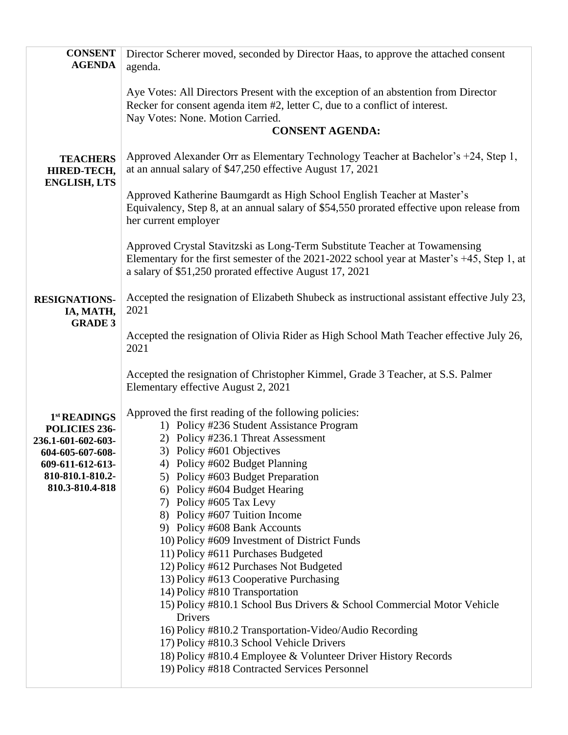| <b>CONSENT</b><br><b>AGENDA</b>                                                                                                    | Director Scherer moved, seconded by Director Haas, to approve the attached consent<br>agenda.                                                                                                                                                                                                                                                                                                                                                                                                                                                                                                                                                                                                                                                                                                                                                                                                      |
|------------------------------------------------------------------------------------------------------------------------------------|----------------------------------------------------------------------------------------------------------------------------------------------------------------------------------------------------------------------------------------------------------------------------------------------------------------------------------------------------------------------------------------------------------------------------------------------------------------------------------------------------------------------------------------------------------------------------------------------------------------------------------------------------------------------------------------------------------------------------------------------------------------------------------------------------------------------------------------------------------------------------------------------------|
|                                                                                                                                    | Aye Votes: All Directors Present with the exception of an abstention from Director<br>Recker for consent agenda item #2, letter C, due to a conflict of interest.<br>Nay Votes: None. Motion Carried.<br><b>CONSENT AGENDA:</b>                                                                                                                                                                                                                                                                                                                                                                                                                                                                                                                                                                                                                                                                    |
| <b>TEACHERS</b><br>HIRED-TECH,<br><b>ENGLISH, LTS</b>                                                                              | Approved Alexander Orr as Elementary Technology Teacher at Bachelor's +24, Step 1,<br>at an annual salary of \$47,250 effective August 17, 2021                                                                                                                                                                                                                                                                                                                                                                                                                                                                                                                                                                                                                                                                                                                                                    |
|                                                                                                                                    | Approved Katherine Baumgardt as High School English Teacher at Master's<br>Equivalency, Step 8, at an annual salary of \$54,550 prorated effective upon release from<br>her current employer                                                                                                                                                                                                                                                                                                                                                                                                                                                                                                                                                                                                                                                                                                       |
|                                                                                                                                    | Approved Crystal Stavitzski as Long-Term Substitute Teacher at Towamensing<br>Elementary for the first semester of the 2021-2022 school year at Master's +45, Step 1, at<br>a salary of \$51,250 prorated effective August 17, 2021                                                                                                                                                                                                                                                                                                                                                                                                                                                                                                                                                                                                                                                                |
| <b>RESIGNATIONS-</b><br>IA, MATH,<br><b>GRADE 3</b>                                                                                | Accepted the resignation of Elizabeth Shubeck as instructional assistant effective July 23,<br>2021                                                                                                                                                                                                                                                                                                                                                                                                                                                                                                                                                                                                                                                                                                                                                                                                |
|                                                                                                                                    | Accepted the resignation of Olivia Rider as High School Math Teacher effective July 26,<br>2021                                                                                                                                                                                                                                                                                                                                                                                                                                                                                                                                                                                                                                                                                                                                                                                                    |
|                                                                                                                                    | Accepted the resignation of Christopher Kimmel, Grade 3 Teacher, at S.S. Palmer<br>Elementary effective August 2, 2021                                                                                                                                                                                                                                                                                                                                                                                                                                                                                                                                                                                                                                                                                                                                                                             |
| 1st READINGS<br>POLICIES 236-<br>236.1-601-602-603-<br>604-605-607-608-<br>609-611-612-613-<br>810-810.1-810.2-<br>810.3-810.4-818 | Approved the first reading of the following policies:<br>1) Policy #236 Student Assistance Program<br>2) Policy #236.1 Threat Assessment<br>3) Policy #601 Objectives<br>4) Policy #602 Budget Planning<br>5) Policy #603 Budget Preparation<br>6) Policy #604 Budget Hearing<br>7) Policy #605 Tax Levy<br>8) Policy #607 Tuition Income<br>9) Policy #608 Bank Accounts<br>10) Policy #609 Investment of District Funds<br>11) Policy #611 Purchases Budgeted<br>12) Policy #612 Purchases Not Budgeted<br>13) Policy #613 Cooperative Purchasing<br>14) Policy #810 Transportation<br>15) Policy #810.1 School Bus Drivers & School Commercial Motor Vehicle<br>Drivers<br>16) Policy #810.2 Transportation-Video/Audio Recording<br>17) Policy #810.3 School Vehicle Drivers<br>18) Policy #810.4 Employee & Volunteer Driver History Records<br>19) Policy #818 Contracted Services Personnel |